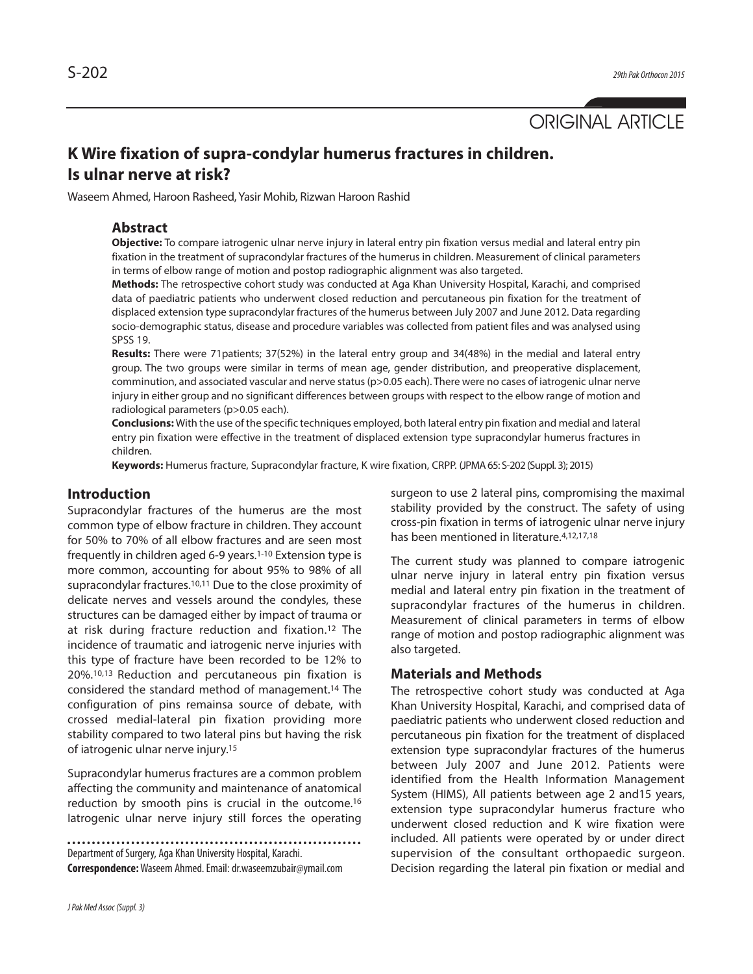# ORIGINAL ARTICLE

## **K Wire fixation of supra-condylar humerus fractures in children. Is ulnar nerve at risk?**

Waseem Ahmed, Haroon Rasheed, Yasir Mohib, Rizwan Haroon Rashid

#### **Abstract**

**Objective:** To compare iatrogenic ulnar nerve injury in lateral entry pin fixation versus medial and lateral entry pin fixation in the treatment of supracondylar fractures of the humerus in children. Measurement of clinical parameters in terms of elbow range of motion and postop radiographic alignment was also targeted.

**Methods:** The retrospective cohort study was conducted at Aga Khan University Hospital, Karachi, and comprised data of paediatric patients who underwent closed reduction and percutaneous pin fixation for the treatment of displaced extension type supracondylar fractures of the humerus between July 2007 and June 2012. Data regarding socio-demographic status, disease and procedure variables was collected from patient files and was analysed using SPSS 19.

**Results:** There were 71patients; 37(52%) in the lateral entry group and 34(48%) in the medial and lateral entry group. The two groups were similar in terms of mean age, gender distribution, and preoperative displacement, comminution, and associated vascular and nerve status (p>0.05 each). There were no cases of iatrogenic ulnar nerve injury in either group and no significant differences between groups with respect to the elbow range of motion and radiological parameters (p>0.05 each).

**Conclusions:** With the use of the specific techniques employed, both lateral entry pin fixation and medial and lateral entry pin fixation were effective in the treatment of displaced extension type supracondylar humerus fractures in children.

**Keywords:** Humerus fracture, Supracondylar fracture, K wire fixation, CRPP. (JPMA65: S-202 (Suppl. 3); 2015)

### **Introduction**

Supracondylar fractures of the humerus are the most common type of elbow fracture in children. They account for 50% to 70% of all elbow fractures and are seen most frequently in children aged 6-9 years. 1-10 Extension type is more common, accounting for about 95% to 98% of all supracondylar fractures. 10,11 Due to the close proximity of delicate nerves and vessels around the condyles, these structures can be damaged either by impact of trauma or at risk during fracture reduction and fixation. <sup>12</sup> The incidence of traumatic and iatrogenic nerve injuries with this type of fracture have been recorded to be 12% to 20%. 10,13 Reduction and percutaneous pin fixation is considered the standard method of management. <sup>14</sup> The configuration of pins remainsa source of debate, with crossed medial-lateral pin fixation providing more stability compared to two lateral pins but having the risk of iatrogenic ulnar nerve injury. 15

Supracondylar humerus fractures are a common problem affecting the community and maintenance of anatomical reduction by smooth pins is crucial in the outcome. 16 Iatrogenic ulnar nerve injury still forces the operating

Department of Surgery, Aga Khan University Hospital, Karachi. **Correspondence:**Waseem Ahmed.Email:dr.waseemzubair@ymail.com surgeon to use 2 lateral pins, compromising the maximal stability provided by the construct. The safety of using cross-pin fixation in terms of iatrogenic ulnar nerve injury has been mentioned in literature. 4,12,17,18

The current study was planned to compare iatrogenic ulnar nerve injury in lateral entry pin fixation versus medial and lateral entry pin fixation in the treatment of supracondylar fractures of the humerus in children. Measurement of clinical parameters in terms of elbow range of motion and postop radiographic alignment was also targeted.

#### **Materials and Methods**

The retrospective cohort study was conducted at Aga Khan University Hospital, Karachi, and comprised data of paediatric patients who underwent closed reduction and percutaneous pin fixation for the treatment of displaced extension type supracondylar fractures of the humerus between July 2007 and June 2012. Patients were identified from the Health Information Management System (HIMS), All patients between age 2 and15 years, extension type supracondylar humerus fracture who underwent closed reduction and K wire fixation were included. All patients were operated by or under direct supervision of the consultant orthopaedic surgeon. Decision regarding the lateral pin fixation or medial and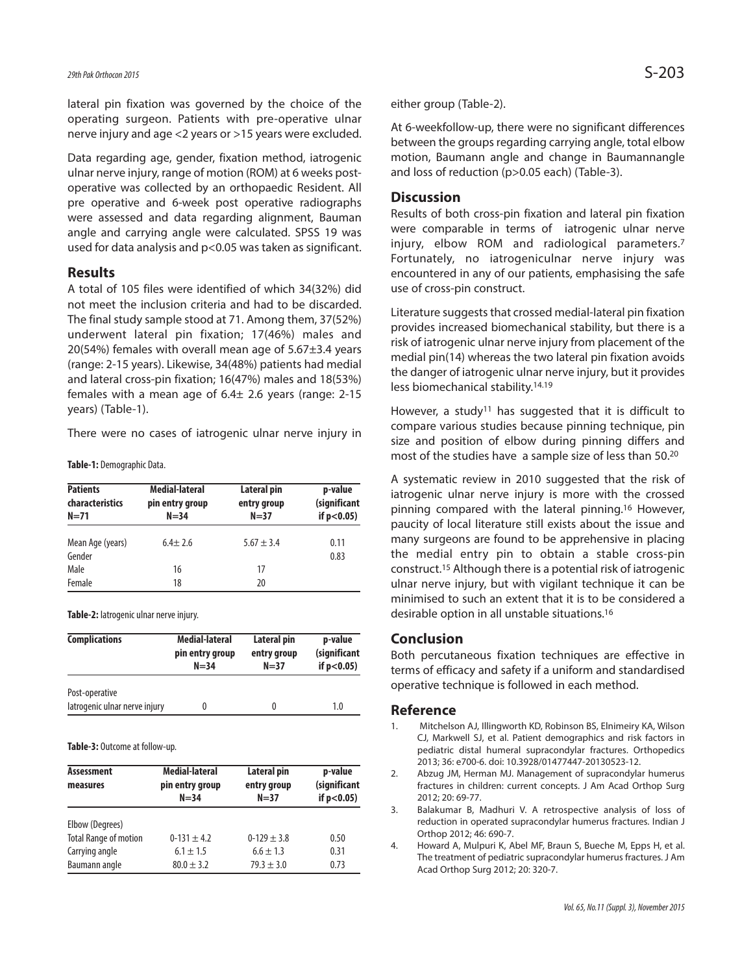lateral pin fixation was governed by the choice of the operating surgeon. Patients with pre-operative ulnar nerve injury and age <2 years or >15 years were excluded.

Data regarding age, gender, fixation method, iatrogenic ulnar nerve injury, range of motion (ROM) at 6 weeks postoperative was collected by an orthopaedic Resident. All pre operative and 6-week post operative radiographs were assessed and data regarding alignment, Bauman angle and carrying angle were calculated. SPSS 19 was used for data analysis and p<0.05 was taken as significant.

#### **Results**

A total of 105 files were identified of which 34(32%) did not meet the inclusion criteria and had to be discarded. The final study sample stood at 71. Among them, 37(52%) underwent lateral pin fixation; 17(46%) males and 20(54%) females with overall mean age of  $5.67\pm3.4$  years (range: 2-15 years). Likewise, 34(48%) patients had medial and lateral cross-pin fixation; 16(47%) males and 18(53%) females with a mean age of  $6.4\pm$  2.6 years (range: 2-15 years) (Table-1).

There were no cases of iatrogenic ulnar nerve injury in

**Table-1:** Demographic Data.

| <b>Patients</b><br>characteristics<br>$N = 71$ | Medial-lateral<br>pin entry group<br>$N = 34$ | Lateral pin<br>entry group<br>$N = 37$ | p-value<br>(significant<br>if $p < 0.05$ ) |
|------------------------------------------------|-----------------------------------------------|----------------------------------------|--------------------------------------------|
| Mean Age (years)<br>Gender                     | $6.4 + 2.6$                                   | $5.67 \pm 3.4$                         | 0.11<br>0.83                               |
| Male                                           | 16                                            | 17                                     |                                            |
| Female                                         | 18                                            | 20                                     |                                            |

**Table-2:** latrogenic ulnar nerve injury.

| <b>Complications</b>                            | Medial-lateral  | Lateral pin | p-value         |
|-------------------------------------------------|-----------------|-------------|-----------------|
|                                                 | pin entry group | entry group | (significant    |
|                                                 | $N = 34$        | $N=37$      | if $p < 0.05$ ) |
| Post-operative<br>latrogenic ulnar nerve injury | 0               | 0           | 1.0             |

Table-3: Outcome at follow-up.

| <b>Assessment</b><br>measures | Medial-lateral<br>pin entry group<br>$N = 34$ | Lateral pin<br>entry group<br>$N = 37$ | p-value<br>(significant<br>if $p < 0.05$ ) |
|-------------------------------|-----------------------------------------------|----------------------------------------|--------------------------------------------|
| Elbow (Degrees)               |                                               |                                        |                                            |
| <b>Total Range of motion</b>  | $0-131 \pm 4.2$                               | $0-129 \pm 3.8$                        | 0.50                                       |
| Carrying angle                | $6.1 \pm 1.5$                                 | $6.6 \pm 1.3$                          | 0.31                                       |
| Baumann angle                 | $80.0 \pm 3.2$                                | $79.3 \pm 3.0$                         | 0.73                                       |

either group (Table-2).

At 6-weekfollow-up, there were no significant differences between the groups regarding carrying angle, total elbow motion, Baumann angle and change in Baumannangle and loss of reduction (p>0.05 each) (Table-3).

#### **Discussion**

Results of both cross-pin fixation and lateral pin fixation were comparable in terms of iatrogenic ulnar nerve injury, elbow ROM and radiological parameters. 7 Fortunately, no iatrogeniculnar nerve injury was encountered in any of our patients, emphasising the safe use of cross-pin construct.

Literature suggests that crossed medial-lateral pin fixation provides increased biomechanical stability, but there is a risk of iatrogenic ulnar nerve injury from placement of the medial pin(14) whereas the two lateral pin fixation avoids the danger of iatrogenic ulnar nerve injury, but it provides less biomechanical stability. 14.19

However, a study<sup>11</sup> has suggested that it is difficult to compare various studies because pinning technique, pin size and position of elbow during pinning differs and most of the studies have a sample size of less than 50. 20

A systematic review in 2010 suggested that the risk of iatrogenic ulnar nerve injury is more with the crossed pinning compared with the lateral pinning. <sup>16</sup> However, paucity of local literature still exists about the issue and many surgeons are found to be apprehensive in placing the medial entry pin to obtain a stable cross-pin construct. <sup>15</sup> Although there is a potential risk of iatrogenic ulnar nerve injury, but with vigilant technique it can be minimised to such an extent that it is to be considered a desirable option in all unstable situations. 16

#### **Conclusion**

Both percutaneous fixation techniques are effective in terms of efficacy and safety if a uniform and standardised operative technique is followed in each method.

#### **Reference**

- 1. Mitchelson AJ, Illingworth KD, Robinson BS, Elnimeiry KA, Wilson CJ, Markwell SJ, et al. Patient demographics and risk factors in pediatric distal humeral supracondylar fractures. Orthopedics 2013; 36: e700-6. doi: 10.3928/01477447-20130523-12.
- 2. Abzug JM, Herman MJ. Management of supracondylar humerus fractures in children: current concepts. J Am Acad Orthop Surg 2012; 20: 69-77.
- 3. Balakumar B, Madhuri V. A retrospective analysis of loss of reduction in operated supracondylar humerus fractures. Indian J Orthop 2012; 46: 690-7.
- 4. Howard A, Mulpuri K, Abel MF, Braun S, Bueche M, Epps H, et al. The treatment of pediatric supracondylar humerus fractures. J Am Acad Orthop Surg 2012; 20: 320-7.